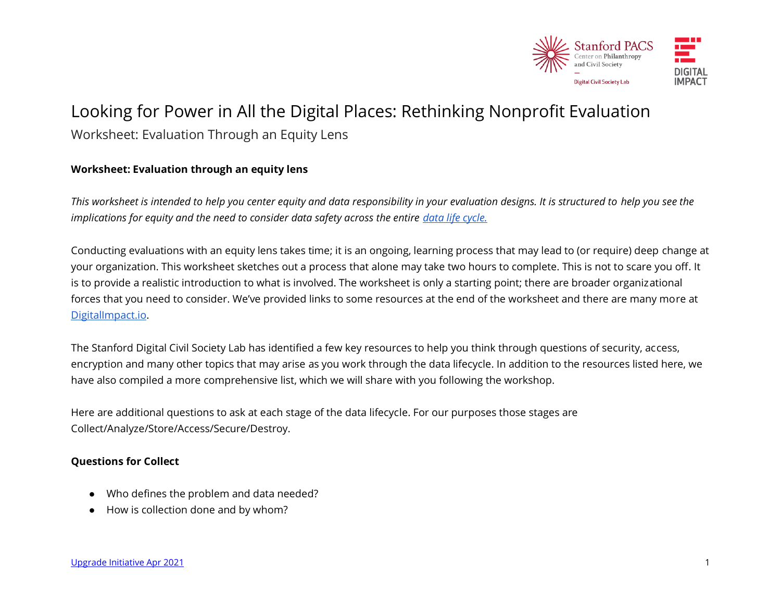

# Looking for Power in All the Digital Places: Rethinking Nonprofit Evaluation Worksheet: Evaluation Through an Equity Lens

## **Worksheet: Evaluation through an equity lens**

*This worksheet is intended to help you center equity and data responsibility in your evaluation designs. It is structured to help you see the implications for equity and the need to consider data safety across the entire data life cycle.* 

Conducting evaluations with an equity lens takes time; it is an ongoing, learning process that may lead to (or require) deep change at your organization. This worksheet sketches out a process that alone may take two hours to complete. This is not to scare you off. It is to provide a realistic introduction to what is involved. The worksheet is only a starting point; there are broader organizational forces that you need to consider. We've provided links to some resources at the end of the worksheet and there are many more at [DigitalImpact.io.](https://digitalimpact.io/upgrade/)

The Stanford Digital Civil Society Lab has identified a few key resources to help you think through questions of security, access, encryption and many other topics that may arise as you work through the data lifecycle. In addition to the resources listed here, we have also compiled a more comprehensive list, which we will share with you following the workshop.

Here are additional questions to ask at each stage of the data lifecycle. For our purposes those stages are Collect/Analyze/Store/Access/Secure/Destroy.

#### **Questions for Collect**

- Who defines the problem and data needed?
- How is collection done and by whom?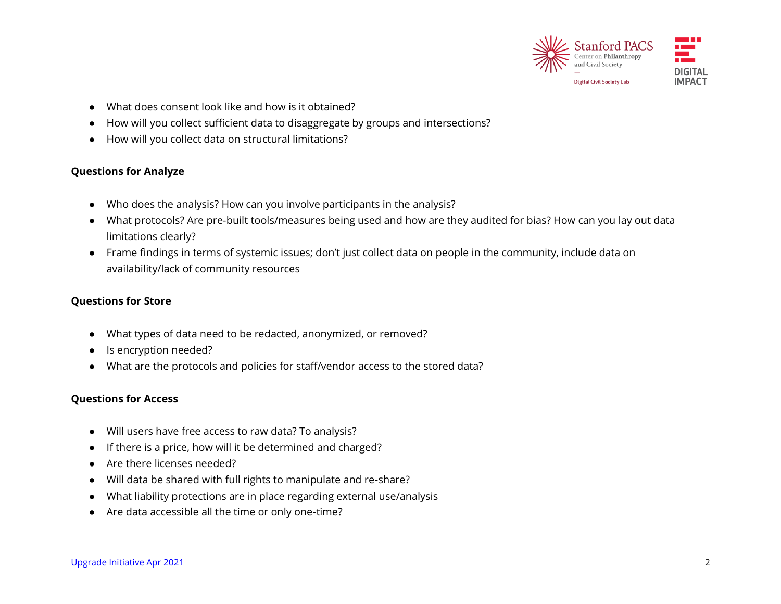

- What does consent look like and how is it obtained?
- How will you collect sufficient data to disaggregate by groups and intersections?
- How will you collect data on structural limitations?

## **Questions for Analyze**

- Who does the analysis? How can you involve participants in the analysis?
- What protocols? Are pre-built tools/measures being used and how are they audited for bias? How can you lay out data limitations clearly?
- Frame findings in terms of systemic issues; don't just collect data on people in the community, include data on availability/lack of community resources

# **Questions for Store**

- What types of data need to be redacted, anonymized, or removed?
- Is encryption needed?
- What are the protocols and policies for staff/vendor access to the stored data?

# **Questions for Access**

- Will users have free access to raw data? To analysis?
- If there is a price, how will it be determined and charged?
- Are there licenses needed?
- Will data be shared with full rights to manipulate and re-share?
- What liability protections are in place regarding external use/analysis
- Are data accessible all the time or only one-time?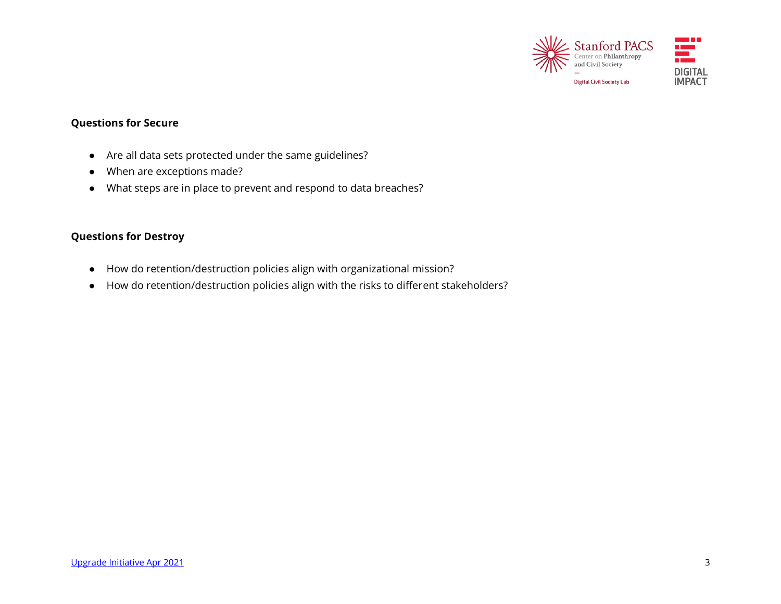

# **Questions for Secure**

- Are all data sets protected under the same guidelines?
- When are exceptions made?
- What steps are in place to prevent and respond to data breaches?

#### **Questions for Destroy**

- How do retention/destruction policies align with organizational mission?
- How do retention/destruction policies align with the risks to different stakeholders?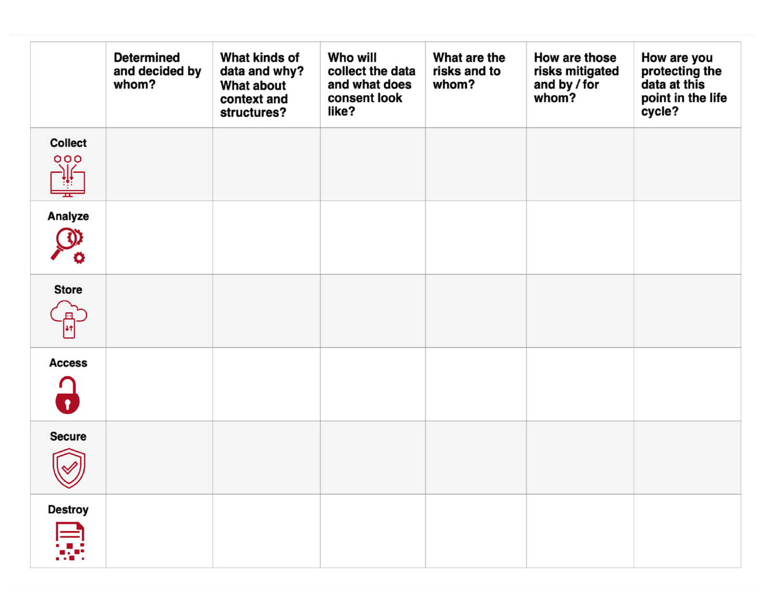|                                       | <b>Determined</b><br>and decided by<br>whom? | What kinds of<br>data and why?<br><b>What about</b><br>context and<br>structures? | Who will<br>collect the data<br>and what does<br>consent look<br>like? | What are the<br>risks and to<br>whom? | How are those<br>risks mitigated<br>and by / for<br>whom? | How are you<br>protecting the<br>data at this<br>point in the life<br>cycle? |
|---------------------------------------|----------------------------------------------|-----------------------------------------------------------------------------------|------------------------------------------------------------------------|---------------------------------------|-----------------------------------------------------------|------------------------------------------------------------------------------|
| <b>Collect</b><br>000<br>¥<br>≖       |                                              |                                                                                   |                                                                        |                                       |                                                           |                                                                              |
| Analyze<br>O                          |                                              |                                                                                   |                                                                        |                                       |                                                           |                                                                              |
| <b>Store</b>                          |                                              |                                                                                   |                                                                        |                                       |                                                           |                                                                              |
| <b>Access</b><br>$\mathbf{\Omega}$    |                                              |                                                                                   |                                                                        |                                       |                                                           |                                                                              |
| <b>Secure</b><br>$\blacktriangledown$ |                                              |                                                                                   |                                                                        |                                       |                                                           |                                                                              |
| <b>Destroy</b>                        |                                              |                                                                                   |                                                                        |                                       |                                                           |                                                                              |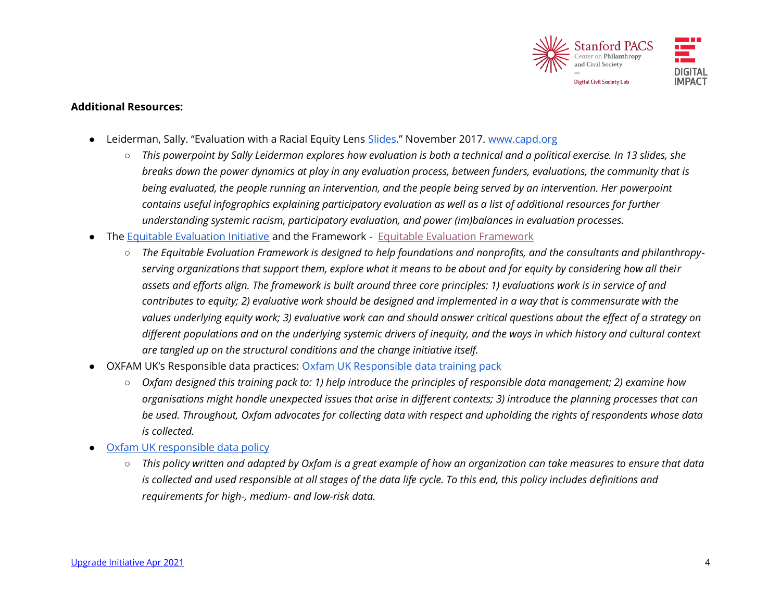

#### **Additional Resources:**

- Leiderman, Sally. "Evaluation with a Racial Equity Lens [Slides](https://static1.squarespace.com/static/5a73584b8fd4d2dbcaa08405/t/601880c31ed4ce25eeafcc2e/1612218564404/Evaluation%2Bwith%2Ba%2BRacial%2BEquity%2BLens%2BSlides.pdf)." November 2017. [www.capd.org](http://www.capd.org/)
	- *This powerpoint by Sally Leiderman explores how evaluation is both a technical and a political exercise. In 13 slides, she breaks down the power dynamics at play in any evaluation process, between funders, evaluations, the community that is being evaluated, the people running an intervention, and the people being served by an intervention. Her powerpoint contains useful infographics explaining participatory evaluation as well as a list of additional resources for further understanding systemic racism, participatory evaluation, and power (im)balances in evaluation processes.*
- The [Equitable Evaluation Initiative](https://www.equitableeval.org/about) and the Framework [Equitable Evaluation Framework](https://www.equitableeval.org/framework)
	- The Equitable Evaluation Framework is designed to help foundations and nonprofits, and the consultants and philanthropy*serving organizations that support them, explore what it means to be about and for equity by considering how all their assets and efforts align. The framework is built around three core principles: 1) evaluations work is in service of and contributes to equity; 2) evaluative work should be designed and implemented in a way that is commensurate with the values underlying equity work; 3) evaluative work can and should answer critical questions about the effect of a strategy on different populations and on the underlying systemic drivers of inequity, and the ways in which history and cultural context are tangled up on the structural conditions and the change initiative itself.*
- OXFAM UK's Responsible data practices: [Oxfam UK Responsible data training pack](https://policy-practice.oxfam.org/resources/responsible-data-management-training-pack-620235/)
	- *Oxfam designed this training pack to: 1) help introduce the principles of responsible data management; 2) examine how organisations might handle unexpected issues that arise in different contexts; 3) introduce the planning processes that can be used. Throughout, Oxfam advocates for collecting data with respect and upholding the rights of respondents whose data is collected.*
- Oxfam [UK responsible data policy](https://www-cdn.oxfam.org/s3fs-public/file_attachments/story/oxfam-responsible-program-data-policy-feb-2015-en_1.pdf)
	- *This policy written and adapted by Oxfam is a great example of how an organization can take measures to ensure that data is collected and used responsible at all stages of the data life cycle. To this end, this policy includes definitions and requirements for high-, medium- and low-risk data.*